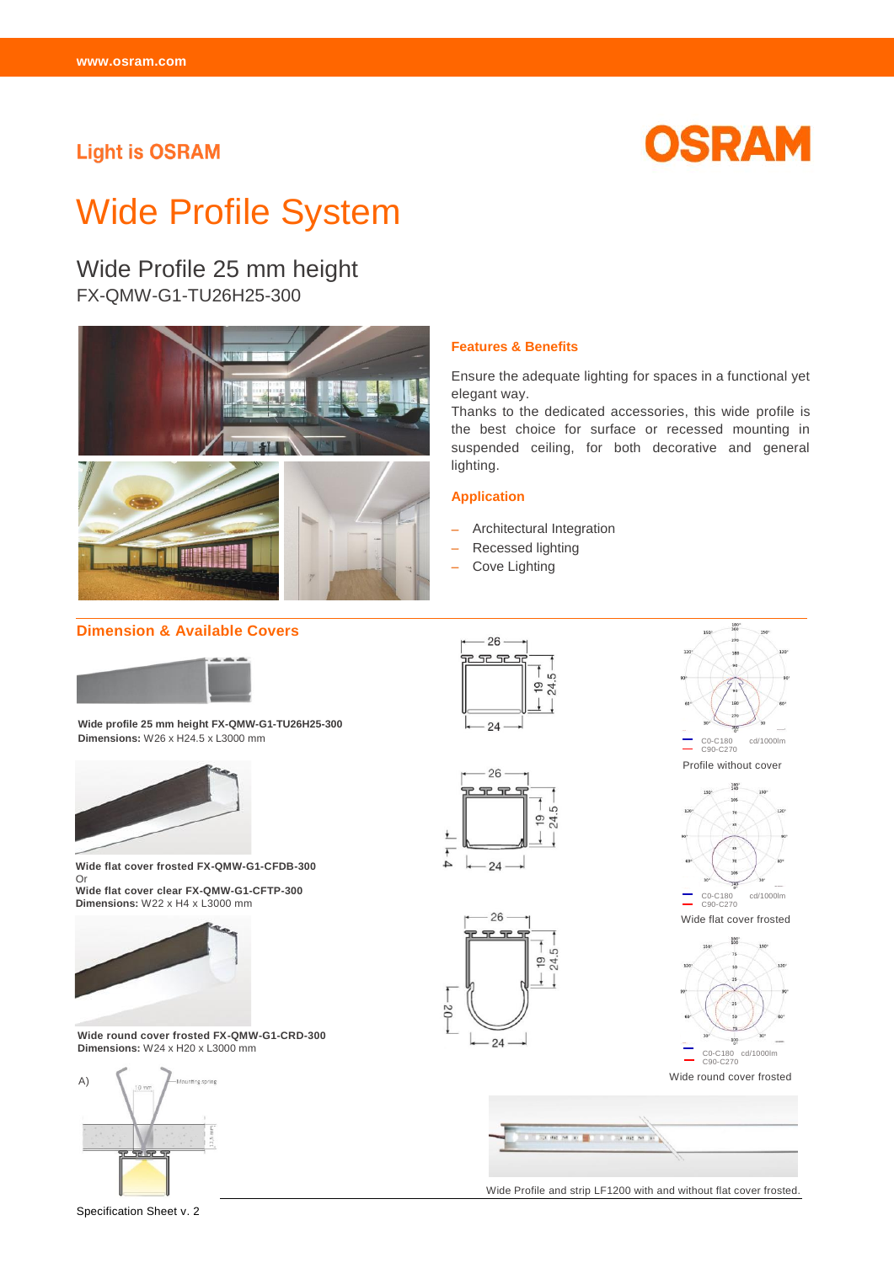## **Light is OSRAM**



# Wide Profile System

Wide Profile 25 mm height FX-QMW-G1-TU26H25-300



#### **Features & Benefits**

Ensure the adequate lighting for spaces in a functional yet elegant way.

Thanks to the dedicated accessories, this wide profile is the best choice for surface or recessed mounting in suspended ceiling, for both decorative and general lighting.

#### **Application**

- − Architectural Integration
- − Recessed lighting
- − Cove Lighting

## **Dimension & Available Covers**



**Wide profile 25 mm height FX-QMW-G1-TU26H25-300 Dimensions:** W26 x H24.5 x L3000 mm



**Wide flat cover frosted FX-QMW-G1-CFDB-300**  Or

**Wide flat cover clear FX-QMW-G1-CFTP-300 Dimensions:** W22 x H4 x L3000 mm



**Wide round cover frosted FX-QMW-G1-CRD-300 Dimensions:** W24 x H20 x L3000 mm



Specification Sheet v. 2





۰  $\overline{+}$ .<br>4





180



Wide round cover frosted



Wide Profile and strip LF1200 with and without flat cover frosted.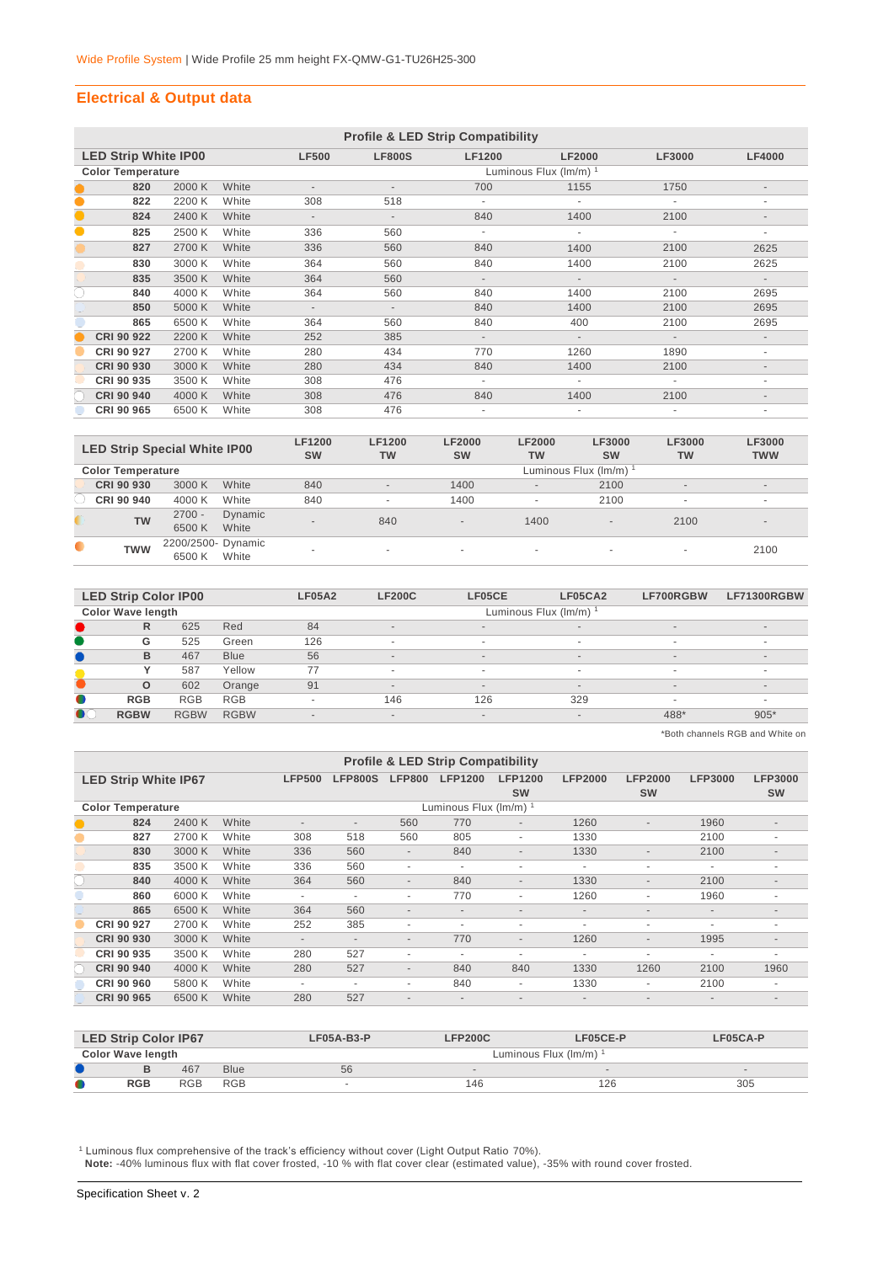## **Electrical & Output data**

|   | <b>Profile &amp; LED Strip Compatibility</b> |        |       |                          |                          |                          |                             |                          |                          |  |  |  |
|---|----------------------------------------------|--------|-------|--------------------------|--------------------------|--------------------------|-----------------------------|--------------------------|--------------------------|--|--|--|
|   | <b>LED Strip White IP00</b>                  |        |       | <b>LF500</b>             | <b>LF800S</b>            | <b>LF1200</b>            | <b>LF2000</b>               | LF3000                   | <b>LF4000</b>            |  |  |  |
|   | <b>Color Temperature</b>                     |        |       |                          |                          |                          | Luminous Flux $(lm/m)^{-1}$ |                          |                          |  |  |  |
|   | 820                                          | 2000 K | White | $\overline{\phantom{a}}$ | ٠                        | 700                      | 1155                        | 1750                     | $\overline{\phantom{a}}$ |  |  |  |
| O | 822                                          | 2200 K | White | 308                      | 518                      | $\overline{\phantom{a}}$ | ٠                           | ٠                        | $\overline{a}$           |  |  |  |
|   | 824                                          | 2400 K | White | $\overline{\phantom{a}}$ | $\overline{\phantom{a}}$ | 840                      | 1400                        | 2100                     | $\overline{\phantom{a}}$ |  |  |  |
|   | 825                                          | 2500 K | White | 336                      | 560                      | $\overline{\phantom{a}}$ | $\sim$                      | ٠                        | ٠                        |  |  |  |
|   | 827                                          | 2700 K | White | 336                      | 560                      | 840                      | 1400                        | 2100                     | 2625                     |  |  |  |
|   | 830                                          | 3000 K | White | 364                      | 560                      | 840                      | 1400                        | 2100                     | 2625                     |  |  |  |
|   | 835                                          | 3500 K | White | 364                      | 560                      | $\overline{\phantom{a}}$ | $\overline{\phantom{a}}$    |                          | $\overline{\phantom{a}}$ |  |  |  |
| C | 840                                          | 4000 K | White | 364                      | 560                      | 840                      | 1400                        | 2100                     | 2695                     |  |  |  |
|   | 850                                          | 5000 K | White | $\overline{\phantom{a}}$ | $\sim$                   | 840                      | 1400                        | 2100                     | 2695                     |  |  |  |
|   | 865                                          | 6500 K | White | 364                      | 560                      | 840                      | 400                         | 2100                     | 2695                     |  |  |  |
|   | CRI 90 922                                   | 2200 K | White | 252                      | 385                      | $\overline{\phantom{a}}$ | $\overline{\phantom{a}}$    |                          | $\overline{\phantom{a}}$ |  |  |  |
|   | CRI 90 927                                   | 2700 K | White | 280                      | 434                      | 770                      | 1260                        | 1890                     | $\overline{\phantom{a}}$ |  |  |  |
|   | <b>CRI 90 930</b>                            | 3000 K | White | 280                      | 434                      | 840                      | 1400                        | 2100                     | $\overline{\phantom{a}}$ |  |  |  |
|   | CRI 90 935                                   | 3500 K | White | 308                      | 476                      | ٠                        | $\overline{\phantom{a}}$    | $\overline{\phantom{a}}$ | ٠                        |  |  |  |
|   | CRI 90 940                                   | 4000 K | White | 308                      | 476                      | 840                      | 1400                        | 2100                     | $\overline{\phantom{a}}$ |  |  |  |
|   | CRI 90 965                                   | 6500 K | White | 308                      | 476                      |                          | $\overline{\phantom{a}}$    | $\overline{\phantom{a}}$ | $\overline{a}$           |  |  |  |

|           | <b>LED Strip Special White IP00</b> |                    |         | <b>LF1200</b><br><b>SW</b> | <b>LF1200</b><br><b>TW</b> | <b>LF2000</b><br><b>SW</b> | <b>LF2000</b><br><b>TW</b> | <b>LF3000</b><br><b>SW</b> | LF3000<br><b>TW</b>      | <b>LF3000</b><br><b>TWW</b> |
|-----------|-------------------------------------|--------------------|---------|----------------------------|----------------------------|----------------------------|----------------------------|----------------------------|--------------------------|-----------------------------|
|           | <b>Color Temperature</b>            |                    |         |                            |                            |                            |                            | Luminous Flux (Im/m) 1     |                          |                             |
|           | CRI 90 930                          | 3000 K             | White   | 840                        | $\overline{a}$             | 1400                       | $\overline{\phantom{0}}$   | 2100                       | $\overline{a}$           | $\overline{a}$              |
|           | CRI 90 940                          | 4000 K             | White   | 840                        | $\overline{\phantom{a}}$   | 1400                       |                            | 2100                       | $\overline{\phantom{a}}$ | $\overline{\phantom{a}}$    |
|           | <b>TW</b>                           | $2700 -$           | Dynamic | $\overline{\phantom{a}}$   | 840                        | $\overline{\phantom{a}}$   | 1400                       | $\overline{\phantom{0}}$   | 2100                     | $\overline{\phantom{a}}$    |
|           |                                     | 6500 K             | White   |                            |                            |                            |                            |                            |                          |                             |
| $\bullet$ | <b>TWW</b>                          | 2200/2500- Dynamic |         | $\overline{\phantom{a}}$   | $\overline{\phantom{a}}$   | $\overline{a}$             | $\sim$                     | $\overline{a}$             | $\overline{a}$           | 2100                        |
|           |                                     | 6500K              | White   |                            |                            |                            |                            |                            |                          |                             |

|           | <b>LED Strip Color IP00</b> |             |             | <b>LF05A2</b> | <b>LF200C</b>            | LF05CE                   | LF05CA2                  | LF700RGBW                | LF71300RGBW              |  |  |
|-----------|-----------------------------|-------------|-------------|---------------|--------------------------|--------------------------|--------------------------|--------------------------|--------------------------|--|--|
|           | <b>Color Wave length</b>    |             |             |               | Luminous Flux (Im/m)     |                          |                          |                          |                          |  |  |
|           | R                           | 625         | Red         | 84            | $\overline{\phantom{a}}$ | $\overline{a}$           | $\overline{\phantom{a}}$ | $\overline{\phantom{a}}$ | $\overline{\phantom{0}}$ |  |  |
|           | G                           | 525         | Green       | 126           | $\overline{\phantom{a}}$ | $\overline{\phantom{a}}$ | $\overline{\phantom{a}}$ | $\sim$                   | $\overline{\phantom{a}}$ |  |  |
|           | B                           | 467         | <b>Blue</b> | 56            | $\overline{\phantom{a}}$ | $\overline{a}$           | $\sim$                   | $\sim$                   | $\overline{a}$           |  |  |
|           |                             | 587         | Yellow      | 77            | $\overline{\phantom{a}}$ | $\overline{\phantom{a}}$ | $\sim$                   | $\sim$                   | $\overline{\phantom{a}}$ |  |  |
|           | O                           | 602         | Orange      | 91            | $\overline{\phantom{a}}$ | $\overline{a}$           | $\overline{\phantom{a}}$ | $\overline{\phantom{a}}$ | $\overline{\phantom{0}}$ |  |  |
| $\bullet$ | <b>RGB</b>                  | <b>RGB</b>  | <b>RGB</b>  | н.            | 146                      | 126                      | 329                      | -                        | $\overline{\phantom{a}}$ |  |  |
| $\bullet$ | <b>RGBW</b>                 | <b>RGBW</b> | <b>RGBW</b> | $\sim$        | $\overline{\phantom{a}}$ | $\overline{a}$           | $\overline{\phantom{a}}$ | 488*                     | $905*$                   |  |  |

\*Both channels RGB and White on

|                          | <b>Profile &amp; LED Strip Compatibility</b> |        |       |                          |                          |                              |                          |                             |                          |                             |                          |                             |
|--------------------------|----------------------------------------------|--------|-------|--------------------------|--------------------------|------------------------------|--------------------------|-----------------------------|--------------------------|-----------------------------|--------------------------|-----------------------------|
|                          | <b>LED Strip White IP67</b>                  |        |       | <b>LFP500</b>            | <b>LFP800S</b>           | <b>LFP800</b>                | <b>LFP1200</b>           | <b>LFP1200</b><br><b>SW</b> | <b>LFP2000</b>           | <b>LFP2000</b><br><b>SW</b> | <b>LFP3000</b>           | <b>LFP3000</b><br><b>SW</b> |
| <b>Color Temperature</b> |                                              |        |       |                          |                          |                              | Luminous Flux (lm/m) 1   |                             |                          |                             |                          |                             |
|                          | 824                                          | 2400 K | White | $\overline{\phantom{a}}$ | $\overline{\phantom{a}}$ | 560                          | 770                      | $\overline{\phantom{a}}$    | 1260                     | $\overline{\phantom{a}}$    | 1960                     | $\overline{\phantom{a}}$    |
|                          | 827                                          | 2700 K | White | 308                      | 518                      | 560                          | 805                      | ٠                           | 1330                     |                             | 2100                     | ٠                           |
|                          | 830                                          | 3000 K | White | 336                      | 560                      | $\overline{\phantom{a}}$     | 840                      | $\overline{\phantom{a}}$    | 1330                     | $\overline{\phantom{a}}$    | 2100                     | $\overline{\phantom{a}}$    |
|                          | 835                                          | 3500 K | White | 336                      | 560                      | ٠                            | ٠                        | ٠                           | ٠                        | ٠                           | ٠                        | $\overline{a}$              |
|                          | 840                                          | 4000 K | White | 364                      | 560                      | $\overline{\phantom{a}}$     | 840                      | $\overline{\phantom{a}}$    | 1330                     | $\overline{\phantom{a}}$    | 2100                     | $\overline{\phantom{a}}$    |
|                          | 860                                          | 6000 K | White | ٠                        | ٠                        | ٠                            | 770                      | ٠                           | 1260                     | $\overline{\phantom{a}}$    | 1960                     | ٠                           |
|                          | 865                                          | 6500K  | White | 364                      | 560                      | $\overline{\phantom{a}}$     | $\overline{\phantom{a}}$ | ٠                           | $\overline{\phantom{0}}$ | $\overline{\phantom{a}}$    | $\overline{\phantom{a}}$ | $\overline{\phantom{a}}$    |
|                          | CRI 90 927                                   | 2700 K | White | 252                      | 385                      | $\overline{\phantom{a}}$     | $\overline{\phantom{a}}$ | ۰                           |                          | $\overline{\phantom{a}}$    | ۰                        | $\overline{\phantom{0}}$    |
|                          | <b>CRI 90 930</b>                            | 3000 K | White | $\overline{\phantom{a}}$ | $\overline{\phantom{a}}$ | $\overline{\phantom{a}}$     | 770                      | $\overline{\phantom{a}}$    | 1260                     | $\overline{\phantom{a}}$    | 1995                     | $\overline{\phantom{a}}$    |
|                          | CRI 90 935                                   | 3500 K | White | 280                      | 527                      | ٠                            | $\overline{\phantom{a}}$ | ٠                           | ۰                        | ٠                           | ٠                        | ٠                           |
|                          | <b>CRI 90 940</b>                            | 4000 K | White | 280                      | 527                      | $\qquad \qquad \blacksquare$ | 840                      | 840                         | 1330                     | 1260                        | 2100                     | 1960                        |
|                          | <b>CRI 90 960</b>                            | 5800 K | White | $\sim$                   | $\overline{\phantom{a}}$ | ۰                            | 840                      | ٠                           | 1330                     | $\overline{\phantom{a}}$    | 2100                     | $\overline{\phantom{a}}$    |
|                          | <b>CRI 90 965</b>                            | 6500K  | White | 280                      | 527                      | $\overline{\phantom{a}}$     | $\overline{\phantom{a}}$ | $\overline{\phantom{0}}$    | $\overline{\phantom{0}}$ | $\overline{\phantom{a}}$    |                          | $\overline{\phantom{a}}$    |

|   | <b>LED Strip Color IP67</b> |            |             | $LFO5A-B3-P$ | LFP200C<br>LF05CE-P                          |                          |     |  |  |  |  |
|---|-----------------------------|------------|-------------|--------------|----------------------------------------------|--------------------------|-----|--|--|--|--|
|   | <b>Color Wave length</b>    |            |             |              | Luminous Flux ( $\text{Im/m}$ ) <sup>1</sup> |                          |     |  |  |  |  |
|   |                             | 467        | <b>Blue</b> | 56           |                                              | $\overline{\phantom{a}}$ |     |  |  |  |  |
| O | <b>RGB</b>                  | <b>RGB</b> | RGB         |              | 146                                          | 126                      | 305 |  |  |  |  |

<sup>1</sup> Luminous flux comprehensive of the track's efficiency without cover (Light Output Ratio 70%).

 **Note:** -40% luminous flux with flat cover frosted, -10 % with flat cover clear (estimated value), -35% with round cover frosted.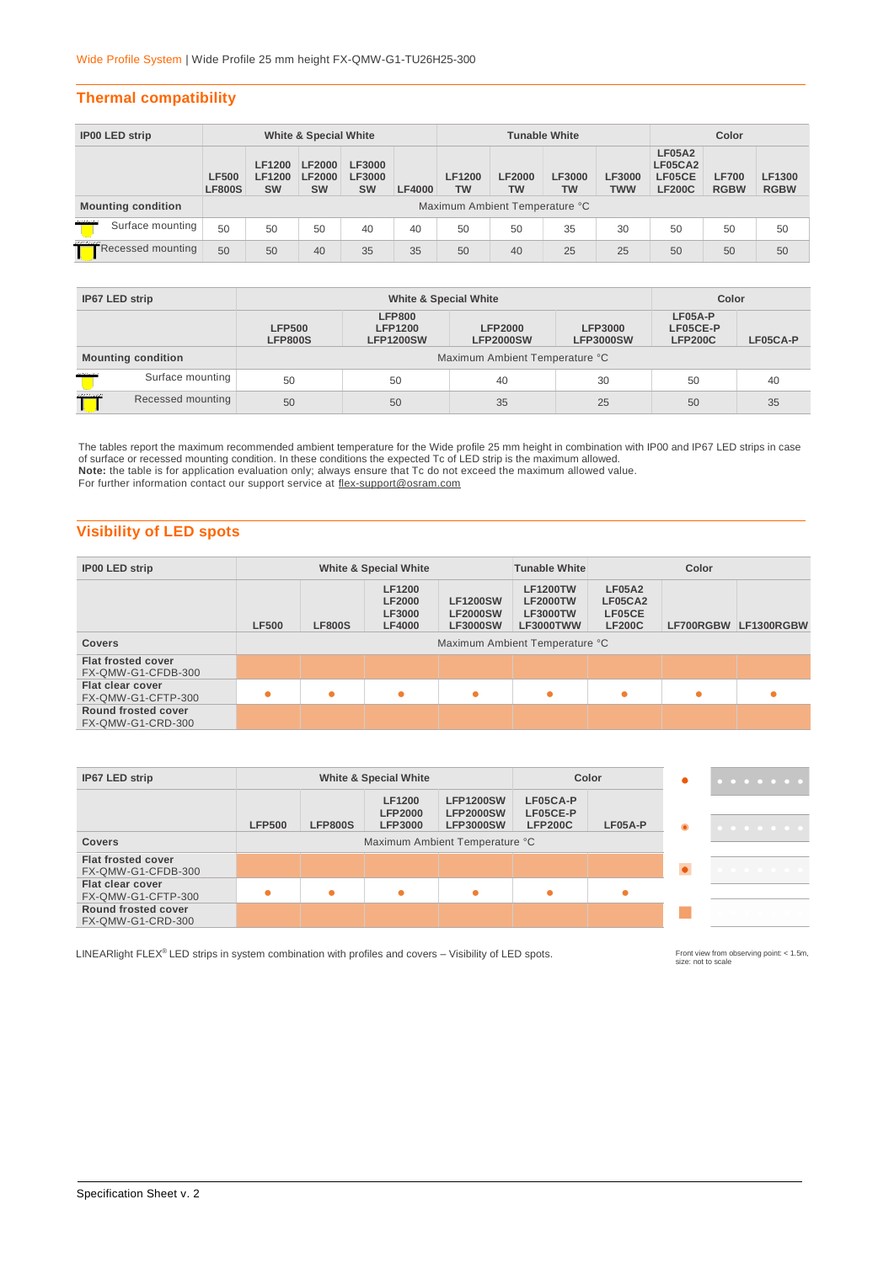## **Thermal compatibility**

| <b>IP00 LED strip</b>                  | <b>White &amp; Special White</b> |                                             |                                             |                                      |               | <b>Tunable White</b>       |                                |              |                             | Color                                               |                             |                              |
|----------------------------------------|----------------------------------|---------------------------------------------|---------------------------------------------|--------------------------------------|---------------|----------------------------|--------------------------------|--------------|-----------------------------|-----------------------------------------------------|-----------------------------|------------------------------|
|                                        | <b>LF500</b><br><b>LF800S</b>    | <b>LF1200</b><br><b>LF1200</b><br><b>SW</b> | <b>LF2000</b><br><b>LF2000</b><br><b>SW</b> | LF3000<br><b>LF3000</b><br><b>SW</b> | <b>LF4000</b> | <b>LF1200</b><br><b>TW</b> | <b>LF2000</b><br><b>TW</b>     | LF3000<br>TW | <b>LF3000</b><br><b>TWW</b> | <b>LF05A2</b><br>LF05CA2<br>LF05CE<br><b>LF200C</b> | <b>LF700</b><br><b>RGBW</b> | <b>LF1300</b><br><b>RGBW</b> |
| <b>Mounting condition</b>              |                                  |                                             |                                             |                                      |               |                            | Maximum Ambient Temperature °C |              |                             |                                                     |                             |                              |
| <b>Alternative</b><br>Surface mounting | 50                               | 50                                          | 50                                          | 40                                   | 40            | 50                         | 50                             | 35           | 30                          | 50                                                  | 50                          | 50                           |
| Recessed mounting                      | 50                               | 50                                          | 40                                          | 35                                   | 35            | 50                         | 40                             | 25           | 25                          | 50                                                  | 50                          | 50                           |

| IP67 LED strip            |                   |                                 | Color                                               |                                    |                                    |                                         |          |  |  |  |  |
|---------------------------|-------------------|---------------------------------|-----------------------------------------------------|------------------------------------|------------------------------------|-----------------------------------------|----------|--|--|--|--|
|                           |                   | <b>LFP500</b><br><b>LFP800S</b> | <b>LFP800</b><br><b>LFP1200</b><br><b>LFP1200SW</b> | <b>LFP2000</b><br><b>LFP2000SW</b> | <b>LFP3000</b><br><b>LFP3000SW</b> | $LFO5A-P$<br>LF05CE-P<br><b>LFP200C</b> | LF05CA-P |  |  |  |  |
| <b>Mounting condition</b> |                   |                                 | Maximum Ambient Temperature °C                      |                                    |                                    |                                         |          |  |  |  |  |
| maria                     | Surface mounting  | 50                              | 50                                                  | 40                                 | 30                                 | 50                                      | 40       |  |  |  |  |
| man                       | Recessed mounting | 50                              | 50                                                  | 35                                 | 25                                 | 50                                      | 35       |  |  |  |  |

The tables report the maximum recommended ambient temperature for the Wide profile 25 mm height in combination with IP00 and IP67 LED strips in case of surface or recessed mounting condition. In these conditions the expected Tc of LED strip is the maximum allowed. **Note:** the table is for application evaluation only; always ensure that Tc do not exceed the maximum allowed value. For further information contact our support service at flex-support@osram.com

## **Visibility of LED spots**

| <b>IP00 LED strip</b>                           |              |               | White & Special White                                     |                                                       | <b>Tunable White</b>                                                      |                                                     |  |                      |
|-------------------------------------------------|--------------|---------------|-----------------------------------------------------------|-------------------------------------------------------|---------------------------------------------------------------------------|-----------------------------------------------------|--|----------------------|
|                                                 | <b>LF500</b> | <b>LF800S</b> | <b>LF1200</b><br><b>LF2000</b><br>LF3000<br><b>LF4000</b> | <b>LF1200SW</b><br><b>LF2000SW</b><br><b>LF3000SW</b> | <b>LF1200TW</b><br><b>LF2000TW</b><br><b>LF3000TW</b><br><b>LF3000TWW</b> | <b>LF05A2</b><br>LF05CA2<br>LF05CE<br><b>LF200C</b> |  | LF700RGBW LF1300RGBW |
| <b>Covers</b>                                   |              |               |                                                           |                                                       | Maximum Ambient Temperature °C                                            |                                                     |  |                      |
| <b>Flat frosted cover</b><br>FX-QMW-G1-CFDB-300 |              |               |                                                           |                                                       |                                                                           |                                                     |  |                      |
| Flat clear cover<br>FX-QMW-G1-CFTP-300          | $\bullet$    |               | ۰                                                         | ٠                                                     | $\bullet$                                                                 |                                                     |  |                      |
| Round frosted cover<br>FX-QMW-G1-CRD-300        |              |               |                                                           |                                                       |                                                                           |                                                     |  |                      |

| IP67 LED strip                                  |               |                | <b>White &amp; Special White</b>                  |                                                          |                                        | Color     |   | . |
|-------------------------------------------------|---------------|----------------|---------------------------------------------------|----------------------------------------------------------|----------------------------------------|-----------|---|---|
|                                                 | <b>LFP500</b> | <b>LFP800S</b> | <b>LF1200</b><br><b>LFP2000</b><br><b>LFP3000</b> | <b>LFP1200SW</b><br><b>LFP2000SW</b><br><b>LFP3000SW</b> | LF05CA-P<br>LF05CE-P<br><b>LFP200C</b> | $LF05A-P$ | ۰ | . |
| <b>Covers</b>                                   |               |                |                                                   | Maximum Ambient Temperature °C                           |                                        |           |   |   |
| <b>Flat frosted cover</b><br>FX-QMW-G1-CFDB-300 |               |                |                                                   |                                                          |                                        |           |   | . |
| Flat clear cover<br>FX-QMW-G1-CFTP-300          |               |                | ●                                                 | ٠                                                        |                                        |           |   |   |
| Round frosted cover<br>FX-QMW-G1-CRD-300        |               |                |                                                   |                                                          |                                        |           |   |   |

LINEARlight FLEX® LED strips in system combination with profiles and covers – Visibility of LED spots.

Front view from observing point: < 1.5m,<br>size: not to scale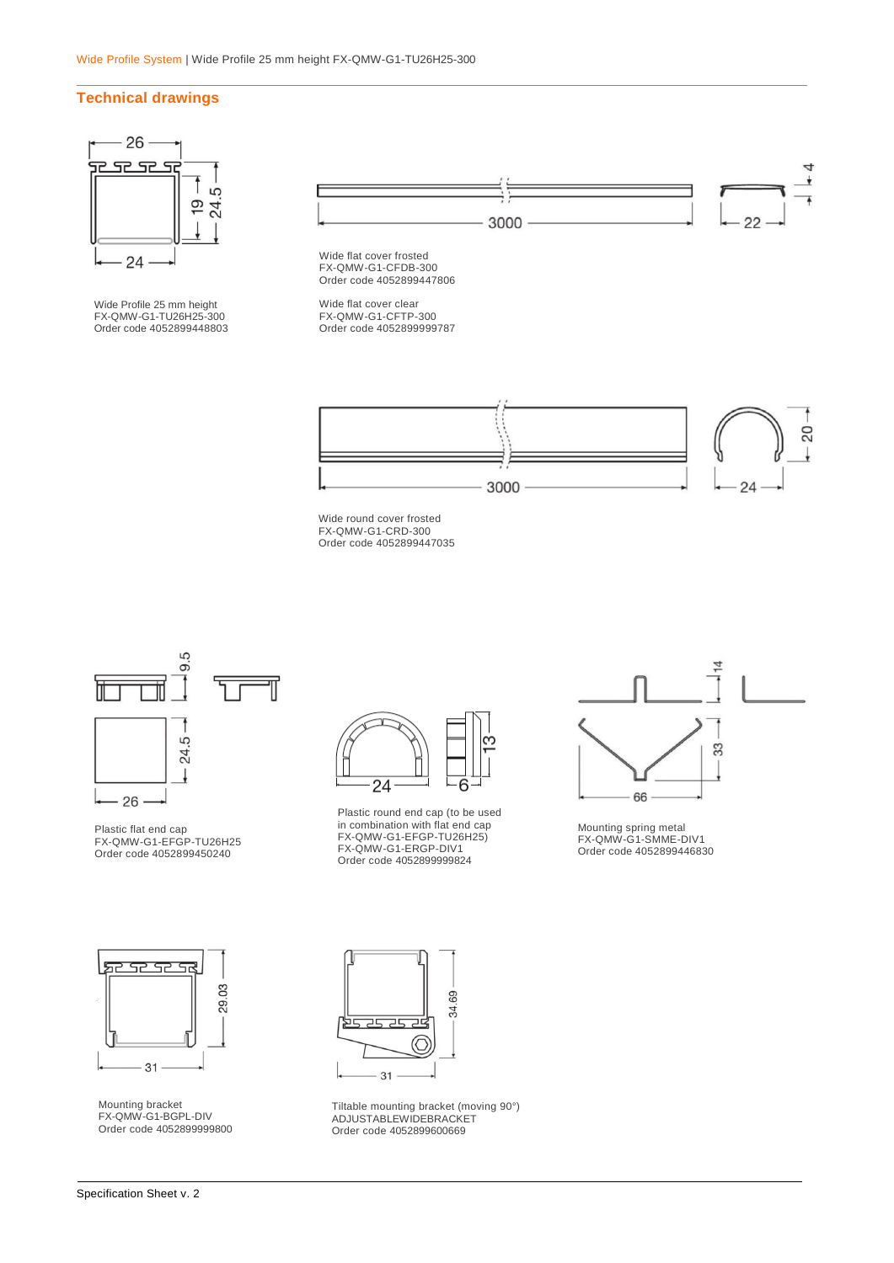### **Technical drawings**





Plastic flat end cap FX-QMW-G1-EFGP-TU26H25 Order code 4052899450240



Plastic round end cap (to be used in combination with flat end cap FX-QMW-G1-EFGP-TU26H25) FX-QMW-G1-ERGP-DIV1 Order code 4052899999824



Mounting spring metal FX-QMW-G1-SMME-DIV1 Order code 4052899446830



Mounting bracket FX-QMW-G1-BGPL-DIV Order code 4052899999800



Tiltable mounting bracket (moving 90°) ADJUSTABLEWIDEBRACKET Order code 4052899600669